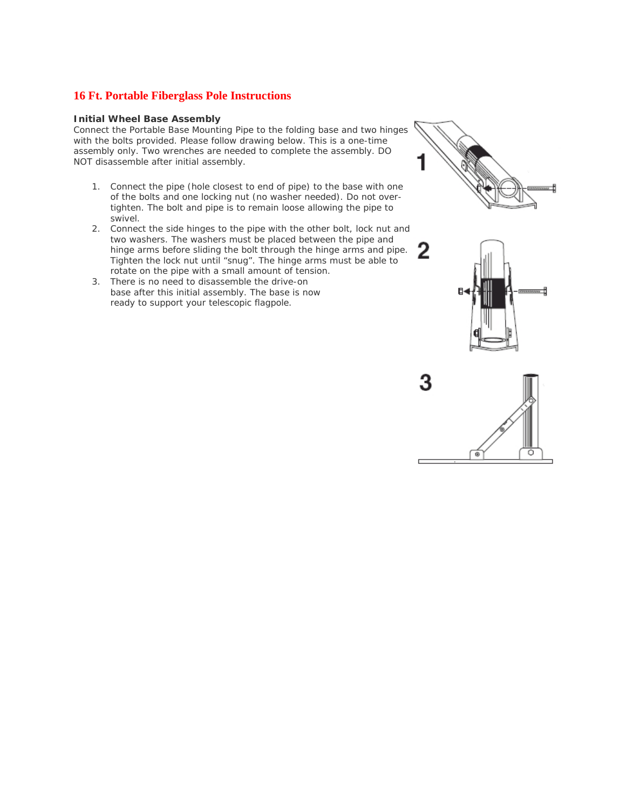# **16 Ft. Portable Fiberglass Pole Instructions**

## **Initial Wheel Base Assembly**

Connect the Portable Base Mounting Pipe to the folding base and two hinges with the bolts provided. Please follow drawing below. This is a one-time assembly only. Two wrenches are needed to complete the assembly. DO NOT disassemble after initial assembly.

- 1. Connect the pipe (hole closest to end of pipe) to the base with one of the bolts and one locking nut (no washer needed). Do not overtighten. The bolt and pipe is to remain loose allowing the pipe to swivel.
- 2. Connect the side hinges to the pipe with the other bolt, lock nut and two washers. The washers must be placed between the pipe and hinge arms before sliding the bolt through the hinge arms and pipe. Tighten the lock nut until "snug". The hinge arms must be able to rotate on the pipe with a small amount of tension.
- 3. There is no need to disassemble the drive-on base after this initial assembly. The base is now ready to support your telescopic flagpole.



z



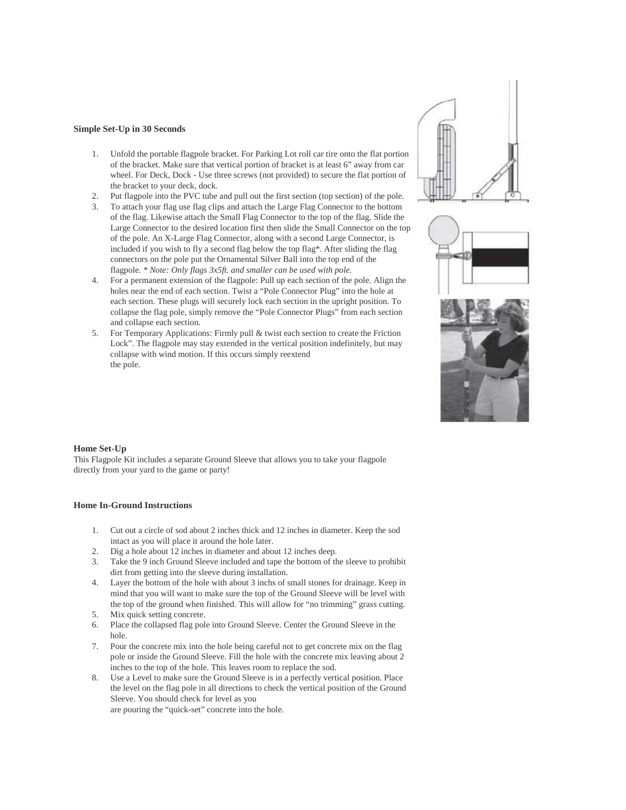#### **Simple Set-Up in 30 Seconds**

- 1. Unfold the portable flagpole bracket. For Parking Lot roll car tire onto the flat portion of the bracket. Make sure that vertical portion of bracket is at least 6" away from car wheel. For Deck, Dock - Use three screws (not provided) to secure the flat portion of the bracket to your deck, dock.
- 2. Put flagpole into the PVC tube and pull out the first section (top section) of the pole.
- 3. To attach your flag use flag clips and attach the Large Flag Connector to the bottom of the flag. Likewise attach the Small Flag Connector to the top of the flag. Slide the Large Connector to the desired location first then slide the Small Connector on the top of the pole. An X-Large Flag Connector, along with a second Large Connector, is included if you wish to fly a second flag below the top flag\*. After sliding the flag connectors on the pole put the Ornamental Silver Ball into the top end of the flagpole. *\* Note: Only flags 3x5ft. and smaller can be used with pole.*
- 4. For a permanent extension of the flagpole: Pull up each section of the pole. Align the holes near the end of each section. Twist a "Pole Connector Plug" into the hole at each section. These plugs will securely lock each section in the upright position. To collapse the flag pole, simply remove the "Pole Connector Plugs" from each section and collapse each section.
- 5. For Temporary Applications: Firmly pull & twist each section to create the Friction Lock". The flagpole may stay extended in the vertical position indefinitely, but may collapse with wind motion. If this occurs simply reextend the pole.







#### **Home Set-Up**

This Flagpole Kit includes a separate Ground Sleeve that allows you to take your flagpole directly from your yard to the game or party!

### **Home In-Ground Instructions**

- 1. Cut out a circle of sod about 2 inches thick and 12 inches in diameter. Keep the sod intact as you will place it around the hole later.
- 2. Dig a hole about 12 inches in diameter and about 12 inches deep.
- 3. Take the 9 inch Ground Sleeve included and tape the bottom of the sleeve to prohibit dirt from getting into the sleeve during installation.
- 4. Layer the bottom of the hole with about 3 inchs of small stones for drainage. Keep in mind that you will want to make sure the top of the Ground Sleeve will be level with the top of the ground when finished. This will allow for "no trimming" grass cutting.
- 5. Mix quick setting concrete.
- 6. Place the collapsed flag pole into Ground Sleeve. Center the Ground Sleeve in the hole.
- 7. Pour the concrete mix into the hole being careful not to get concrete mix on the flag pole or inside the Ground Sleeve. Fill the hole with the concrete mix leaving about 2 inches to the top of the hole. This leaves room to replace the sod.
- 8. Use a Level to make sure the Ground Sleeve is in a perfectly vertical position. Place the level on the flag pole in all directions to check the vertical position of the Ground Sleeve. You should check for level as you are pouring the "quick-set" concrete into the hole.